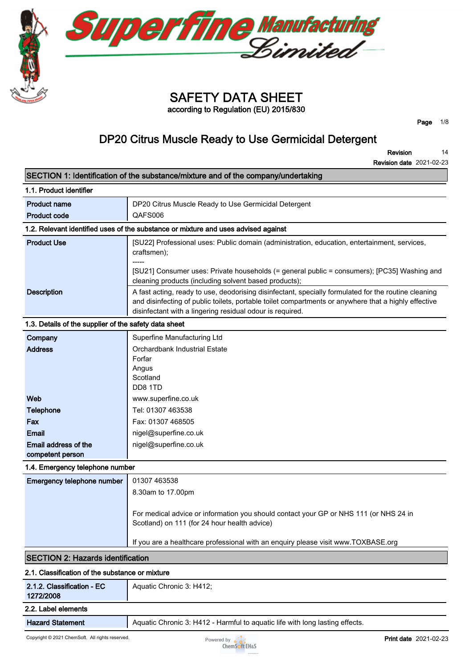



**Page 1/8**

### **DP20 Citrus Muscle Ready to Use Germicidal Detergent**

**Revision Revision date 2021-02-23 14**

|                                                       | SECTION 1: Identification of the substance/mixture and of the company/undertaking                                                                                                                                                                                         |
|-------------------------------------------------------|---------------------------------------------------------------------------------------------------------------------------------------------------------------------------------------------------------------------------------------------------------------------------|
| 1.1. Product identifier                               |                                                                                                                                                                                                                                                                           |
| <b>Product name</b>                                   | DP20 Citrus Muscle Ready to Use Germicidal Detergent                                                                                                                                                                                                                      |
| <b>Product code</b>                                   | QAFS006                                                                                                                                                                                                                                                                   |
|                                                       | 1.2. Relevant identified uses of the substance or mixture and uses advised against                                                                                                                                                                                        |
| <b>Product Use</b>                                    | [SU22] Professional uses: Public domain (administration, education, entertainment, services,<br>craftsmen);                                                                                                                                                               |
|                                                       | [SU21] Consumer uses: Private households (= general public = consumers); [PC35] Washing and<br>cleaning products (including solvent based products);                                                                                                                      |
| <b>Description</b>                                    | A fast acting, ready to use, deodorising disinfectant, specially formulated for the routine cleaning<br>and disinfecting of public toilets, portable toilet compartments or anywhere that a highly effective<br>disinfectant with a lingering residual odour is required. |
| 1.3. Details of the supplier of the safety data sheet |                                                                                                                                                                                                                                                                           |
| Company                                               | Superfine Manufacturing Ltd                                                                                                                                                                                                                                               |
| <b>Address</b>                                        | Orchardbank Industrial Estate<br>Forfar                                                                                                                                                                                                                                   |
|                                                       | Angus<br>Scotland<br>DD8 1TD                                                                                                                                                                                                                                              |
| Web                                                   | www.superfine.co.uk                                                                                                                                                                                                                                                       |
| <b>Telephone</b>                                      | Tel: 01307 463538                                                                                                                                                                                                                                                         |
| Fax                                                   | Fax: 01307 468505                                                                                                                                                                                                                                                         |
| Email                                                 | nigel@superfine.co.uk                                                                                                                                                                                                                                                     |
| Email address of the<br>competent person              | nigel@superfine.co.uk                                                                                                                                                                                                                                                     |
| 1.4. Emergency telephone number                       |                                                                                                                                                                                                                                                                           |
| Emergency telephone number                            | 01307 463538                                                                                                                                                                                                                                                              |
|                                                       | 8.30am to 17.00pm                                                                                                                                                                                                                                                         |
|                                                       | For medical advice or information you should contact your GP or NHS 111 (or NHS 24 in<br>Scotland) on 111 (for 24 hour health advice)                                                                                                                                     |
|                                                       | If you are a healthcare professional with an enquiry please visit www.TOXBASE.org                                                                                                                                                                                         |
| <b>SECTION 2: Hazards identification</b>              |                                                                                                                                                                                                                                                                           |
| 2.1. Classification of the substance or mixture       |                                                                                                                                                                                                                                                                           |
| 2.1.2. Classification - EC<br>1272/2008               | Aquatic Chronic 3: H412;                                                                                                                                                                                                                                                  |
| 2.2. Label elements                                   |                                                                                                                                                                                                                                                                           |
| <b>Hazard Statement</b>                               | Aquatic Chronic 3: H412 - Harmful to aquatic life with long lasting effects.                                                                                                                                                                                              |

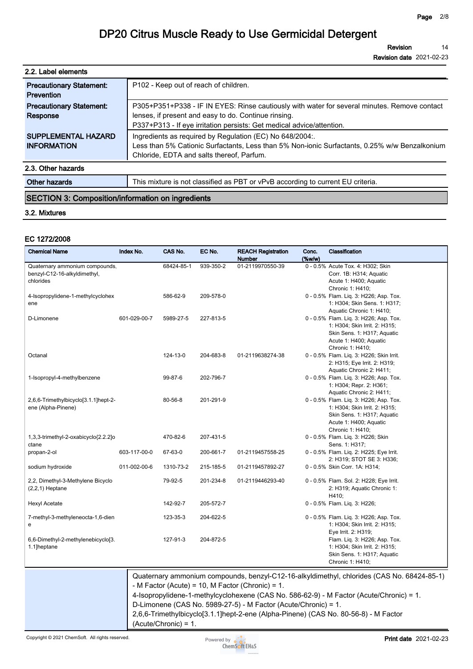**Revision 14**

**Revision date 2021-02-23**

| 2.2. Label elements                              |                                                                                                                                                                                                                               |
|--------------------------------------------------|-------------------------------------------------------------------------------------------------------------------------------------------------------------------------------------------------------------------------------|
| <b>Precautionary Statement:</b><br>Prevention    | P102 - Keep out of reach of children.                                                                                                                                                                                         |
| <b>Precautionary Statement:</b><br>Response      | P305+P351+P338 - IF IN EYES: Rinse cautiously with water for several minutes. Remove contact<br>lenses, if present and easy to do. Continue rinsing.<br>P337+P313 - If eye irritation persists: Get medical advice/attention. |
| <b>SUPPLEMENTAL HAZARD</b><br><b>INFORMATION</b> | Ingredients as required by Regulation (EC) No 648/2004:.<br>Less than 5% Cationic Surfactants, Less than 5% Non-ionic Surfactants, 0.25% w/w Benzalkonium<br>Chloride, EDTA and salts thereof, Parfum.                        |
| 2.3. Other hazards                               |                                                                                                                                                                                                                               |
| Other hazards                                    | This mixture is not classified as PBT or vPvB according to current EU criteria.                                                                                                                                               |
|                                                  |                                                                                                                                                                                                                               |

#### **SECTION 3: Composition/information on ingredients**

#### **3.2. Mixtures**

#### **EC 1272/2008**

| <b>Chemical Name</b>                                                        | Index No.    | CAS No.    | EC No.    | <b>REACH Registration</b><br><b>Number</b> | Conc.<br>$(\%w/w)$ | <b>Classification</b>                                                                                                                                |
|-----------------------------------------------------------------------------|--------------|------------|-----------|--------------------------------------------|--------------------|------------------------------------------------------------------------------------------------------------------------------------------------------|
| Quaternary ammonium compounds,<br>benzyl-C12-16-alkyldimethyl,<br>chlorides |              | 68424-85-1 | 939-350-2 | 01-2119970550-39                           |                    | 0 - 0.5% Acute Tox. 4: H302; Skin<br>Corr. 1B: H314; Aquatic<br>Acute 1: H400; Aquatic<br>Chronic 1: H410;                                           |
| 4-Isopropylidene-1-methylcyclohex<br>ene                                    |              | 586-62-9   | 209-578-0 |                                            |                    | 0 - 0.5% Flam. Liq. 3: H226; Asp. Tox.<br>1: H304; Skin Sens. 1: H317;<br>Aquatic Chronic 1: H410;                                                   |
| D-Limonene                                                                  | 601-029-00-7 | 5989-27-5  | 227-813-5 |                                            |                    | 0 - 0.5% Flam. Liq. 3: H226; Asp. Tox.<br>1: H304; Skin Irrit. 2: H315;<br>Skin Sens. 1: H317; Aquatic<br>Acute 1: H400; Aquatic<br>Chronic 1: H410: |
| Octanal                                                                     |              | 124-13-0   | 204-683-8 | 01-2119638274-38                           |                    | 0 - 0.5% Flam. Liq. 3: H226; Skin Irrit.<br>2: H315; Eye Irrit. 2: H319;<br>Aquatic Chronic 2: H411;                                                 |
| 1-Isopropyl-4-methylbenzene                                                 |              | 99-87-6    | 202-796-7 |                                            |                    | 0 - 0.5% Flam. Liq. 3: H226; Asp. Tox.<br>1: H304; Repr. 2: H361;<br>Aquatic Chronic 2: H411;                                                        |
| 2,6,6-Trimethylbicyclo[3.1.1]hept-2-<br>ene (Alpha-Pinene)                  |              | 80-56-8    | 201-291-9 |                                            |                    | 0 - 0.5% Flam. Liq. 3: H226; Asp. Tox.<br>1: H304; Skin Irrit. 2: H315;<br>Skin Sens. 1: H317; Aquatic<br>Acute 1: H400; Aquatic<br>Chronic 1: H410; |
| 1,3,3-trimethyl-2-oxabicyclo{2.2.2]o<br>ctane                               |              | 470-82-6   | 207-431-5 |                                            |                    | 0 - 0.5% Flam. Liq. 3: H226; Skin<br>Sens. 1: H317;                                                                                                  |
| propan-2-ol                                                                 | 603-117-00-0 | 67-63-0    | 200-661-7 | 01-2119457558-25                           |                    | 0 - 0.5% Flam. Lig. 2: H225; Eye Irrit.<br>2: H319; STOT SE 3: H336;                                                                                 |
| sodium hydroxide                                                            | 011-002-00-6 | 1310-73-2  | 215-185-5 | 01-2119457892-27                           |                    | 0 - 0.5% Skin Corr. 1A: H314;                                                                                                                        |
| 2,2, Dimethyl-3-Methylene Bicyclo<br>$(2,2,1)$ Heptane                      |              | 79-92-5    | 201-234-8 | 01-2119446293-40                           |                    | 0 - 0.5% Flam. Sol. 2: H228; Eye Irrit.<br>2: H319; Aquatic Chronic 1:<br>H410;                                                                      |
| Hexyl Acetate                                                               |              | 142-92-7   | 205-572-7 |                                            |                    | 0 - 0.5% Flam. Liq. 3: H226;                                                                                                                         |
| 7-methyl-3-methyleneocta-1,6-dien<br>e                                      |              | 123-35-3   | 204-622-5 |                                            |                    | 0 - 0.5% Flam. Liq. 3: H226; Asp. Tox.<br>1: H304; Skin Irrit. 2: H315;<br>Eye Irrit. 2: H319;                                                       |
| 6,6-Dimethyl-2-methylenebicyclo[3.<br>1.1]heptane                           |              | 127-91-3   | 204-872-5 |                                            |                    | Flam. Lig. 3: H226; Asp. Tox.<br>1: H304; Skin Irrit. 2: H315;<br>Skin Sens. 1: H317; Aquatic<br>Chronic 1: H410;                                    |

**Quaternary ammonium compounds, benzyl-C12-16-alkyldimethyl, chlorides (CAS No. 68424-85-1) - M Factor (Acute) = 10, M Factor (Chronic) = 1.**

| 4-Isopropylidene-1-methylcyclohexene (CAS No. 586-62-9) - M Factor (Acute/Chronic) = 1. |
|-----------------------------------------------------------------------------------------|
| D-Limonene (CAS No. 5989-27-5) - M Factor (Acute/Chronic) = 1.                          |
| 2.6.6-Trimethylbicyclo 3.1.1 hept-2-ene (Alpha-Pinene) (CAS No. 80-56-8) - M Factor     |
| $(Acute/Chronic) = 1.$                                                                  |

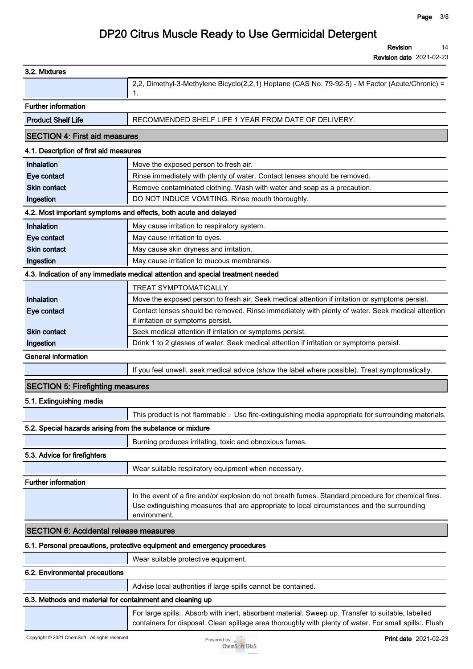**Revision 14**

**Revision date 2021-02-23**

| 3.2. Mixtures                                              |                                                                                                        |
|------------------------------------------------------------|--------------------------------------------------------------------------------------------------------|
|                                                            | 2,2, Dimethyl-3-Methylene Bicyclo(2,2,1) Heptane (CAS No. 79-92-5) - M Factor (Acute/Chronic) =<br>1.  |
| <b>Further information</b>                                 |                                                                                                        |
| <b>Product Shelf Life</b>                                  | RECOMMENDED SHELF LIFE 1 YEAR FROM DATE OF DELIVERY.                                                   |
| <b>SECTION 4: First aid measures</b>                       |                                                                                                        |
| 4.1. Description of first aid measures                     |                                                                                                        |
| Inhalation                                                 | Move the exposed person to fresh air.                                                                  |
| Eye contact                                                | Rinse immediately with plenty of water. Contact lenses should be removed.                              |
| <b>Skin contact</b>                                        | Remove contaminated clothing. Wash with water and soap as a precaution.                                |
| Ingestion                                                  | DO NOT INDUCE VOMITING. Rinse mouth thoroughly.                                                        |
|                                                            | 4.2. Most important symptoms and effects, both acute and delayed                                       |
| Inhalation                                                 | May cause irritation to respiratory system.                                                            |
| Eye contact                                                | May cause irritation to eyes.                                                                          |
| <b>Skin contact</b>                                        | May cause skin dryness and irritation.                                                                 |
| Ingestion                                                  | May cause irritation to mucous membranes.                                                              |
|                                                            | 4.3. Indication of any immediate medical attention and special treatment needed                        |
|                                                            | <b>TREAT SYMPTOMATICALLY.</b>                                                                          |
| Inhalation                                                 | Move the exposed person to fresh air. Seek medical attention if irritation or symptoms persist.        |
| Eye contact                                                | Contact lenses should be removed. Rinse immediately with plenty of water. Seek medical attention       |
|                                                            | if irritation or symptoms persist.                                                                     |
| <b>Skin contact</b>                                        | Seek medical attention if irritation or symptoms persist.                                              |
| Ingestion                                                  | Drink 1 to 2 glasses of water. Seek medical attention if irritation or symptoms persist.               |
| <b>General information</b>                                 |                                                                                                        |
|                                                            | If you feel unwell, seek medical advice (show the label where possible). Treat symptomatically.        |
| <b>SECTION 5: Firefighting measures</b>                    |                                                                                                        |
| 5.1. Extinguishing media                                   |                                                                                                        |
|                                                            | This product is not flammable. Use fire-extinguishing media appropriate for surrounding materials.     |
| 5.2. Special hazards arising from the substance or mixture |                                                                                                        |
|                                                            | Burning produces irritating, toxic and obnoxious fumes.                                                |
| 5.3. Advice for firefighters                               |                                                                                                        |
|                                                            | Wear suitable respiratory equipment when necessary.                                                    |
| <b>Further information</b>                                 |                                                                                                        |
|                                                            | In the event of a fire and/or explosion do not breath fumes. Standard procedure for chemical fires.    |
|                                                            | Use extinguishing measures that are appropriate to local circumstances and the surrounding             |
|                                                            | environment.                                                                                           |
| <b>SECTION 6: Accidental release measures</b>              |                                                                                                        |
|                                                            | 6.1. Personal precautions, protective equipment and emergency procedures                               |
|                                                            | Wear suitable protective equipment.                                                                    |
| 6.2. Environmental precautions                             |                                                                                                        |
|                                                            | Advise local authorities if large spills cannot be contained.                                          |
| 6.3. Methods and material for containment and cleaning up  |                                                                                                        |
|                                                            | For large spills:. Absorb with inert, absorbent material. Sweep up. Transfer to suitable, labelled     |
|                                                            | containers for disposal. Clean spillage area thoroughly with plenty of water. For small spills:. Flush |
|                                                            |                                                                                                        |

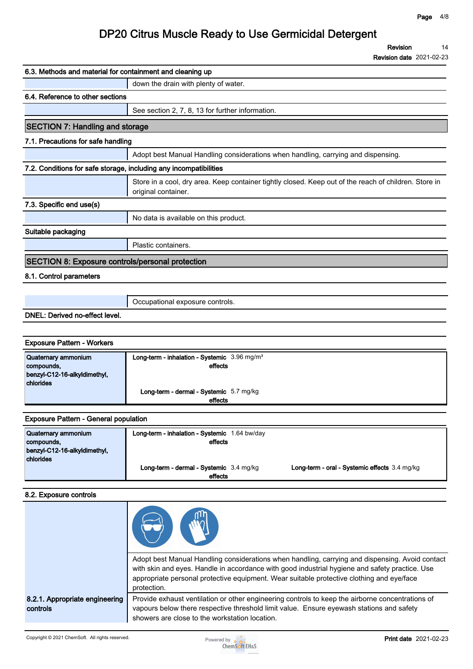#### **Revision 14**

**Revision date 2021-02-23**

| 6.3. Methods and material for containment and cleaning up         |                                                                                                                              |  |  |  |  |
|-------------------------------------------------------------------|------------------------------------------------------------------------------------------------------------------------------|--|--|--|--|
|                                                                   | down the drain with plenty of water.                                                                                         |  |  |  |  |
| 6.4. Reference to other sections                                  |                                                                                                                              |  |  |  |  |
|                                                                   | See section 2, 7, 8, 13 for further information.                                                                             |  |  |  |  |
| <b>SECTION 7: Handling and storage</b>                            |                                                                                                                              |  |  |  |  |
| 7.1. Precautions for safe handling                                |                                                                                                                              |  |  |  |  |
|                                                                   | Adopt best Manual Handling considerations when handling, carrying and dispensing.                                            |  |  |  |  |
| 7.2. Conditions for safe storage, including any incompatibilities |                                                                                                                              |  |  |  |  |
|                                                                   | Store in a cool, dry area. Keep container tightly closed. Keep out of the reach of children. Store in<br>original container. |  |  |  |  |
| 7.3. Specific end use(s)                                          |                                                                                                                              |  |  |  |  |
|                                                                   | No data is available on this product.                                                                                        |  |  |  |  |
| Suitable packaging                                                |                                                                                                                              |  |  |  |  |
|                                                                   | Plastic containers.                                                                                                          |  |  |  |  |
| <b>SECTION 8: Exposure controls/personal protection</b>           |                                                                                                                              |  |  |  |  |
| 8.1. Control parameters                                           |                                                                                                                              |  |  |  |  |
|                                                                   |                                                                                                                              |  |  |  |  |
|                                                                   | $\sim$                                                                                                                       |  |  |  |  |

**DNEL: Derived no-effect level.**

### **Occupational exposure controls.**

# **Exposure Pattern - Workers Quaternary ammonium compounds, benzyl-C12-16-alkyldimethyl, chlorides Long-term - inhalation - Systemic effects 3.96 mg/m³ Long-term - dermal - Systemic effects 5.7 mg/kg**

| <b>Exposure Pattern - General population</b> |                                               |  |                                               |  |
|----------------------------------------------|-----------------------------------------------|--|-----------------------------------------------|--|
| Quaternary ammonium                          | Long-term - inhalation - Systemic 1.64 bw/day |  |                                               |  |
| compounds,                                   | effects                                       |  |                                               |  |
| benzyl-C12-16-alkyldimethyl,                 |                                               |  |                                               |  |
| chlorides                                    |                                               |  |                                               |  |
|                                              | Long-term - dermal - Systemic 3.4 mg/kg       |  | Long-term - oral - Systemic effects 3.4 mg/kg |  |
|                                              | effects                                       |  |                                               |  |

#### **8.2. Exposure controls**

|                                            | Adopt best Manual Handling considerations when handling, carrying and dispensing. Avoid contact<br>with skin and eyes. Handle in accordance with good industrial hygiene and safety practice. Use<br>appropriate personal protective equipment. Wear suitable protective clothing and eye/face<br>protection. |
|--------------------------------------------|---------------------------------------------------------------------------------------------------------------------------------------------------------------------------------------------------------------------------------------------------------------------------------------------------------------|
| 8.2.1. Appropriate engineering<br>controls | Provide exhaust ventilation or other engineering controls to keep the airborne concentrations of<br>vapours below there respective threshold limit value. Ensure eyewash stations and safety<br>showers are close to the workstation location.                                                                |

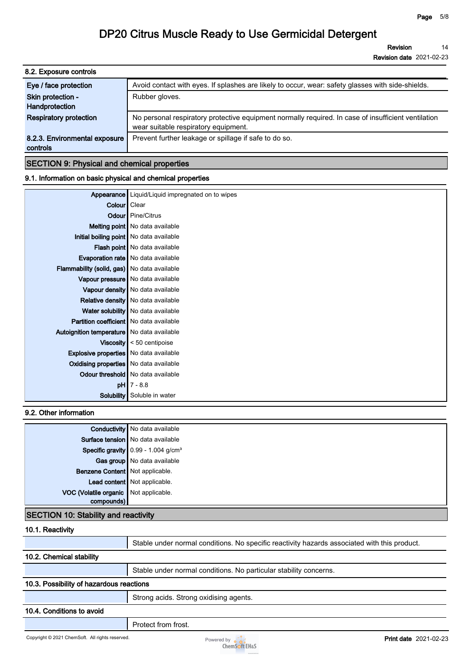#### **Revision 14**

**Revision date 2021-02-23**

| 8.2. Exposure controls                    |                                                                                                                                             |  |  |  |  |  |
|-------------------------------------------|---------------------------------------------------------------------------------------------------------------------------------------------|--|--|--|--|--|
| Eye / face protection                     | Avoid contact with eyes. If splashes are likely to occur, wear: safety glasses with side-shields.                                           |  |  |  |  |  |
| Skin protection -<br>Handprotection       | Rubber gloves.                                                                                                                              |  |  |  |  |  |
| <b>Respiratory protection</b>             | No personal respiratory protective equipment normally required. In case of insufficient ventilation<br>wear suitable respiratory equipment. |  |  |  |  |  |
| 8.2.3. Environmental exposure<br>controls | Prevent further leakage or spillage if safe to do so.                                                                                       |  |  |  |  |  |
|                                           |                                                                                                                                             |  |  |  |  |  |

#### **SECTION 9: Physical and chemical properties**

#### **9.1. Information on basic physical and chemical properties**

|                                                | Appearance   Liquid/Liquid impregnated on to wipes |
|------------------------------------------------|----------------------------------------------------|
| Colour   Clear                                 |                                                    |
|                                                | <b>Odour</b> Pine/Citrus                           |
|                                                | Melting point   No data available                  |
| Initial boiling point   No data available      |                                                    |
|                                                | Flash point No data available                      |
|                                                | Evaporation rate   No data available               |
| Flammability (solid, gas) No data available    |                                                    |
|                                                | Vapour pressure   No data available                |
|                                                | Vapour density No data available                   |
|                                                | Relative density   No data available               |
|                                                | Water solubility   No data available               |
| <b>Partition coefficient</b> No data available |                                                    |
| Autoignition temperature   No data available   |                                                    |
|                                                | <b>Viscosity</b> $\leq 50$ centipoise              |
| Explosive properties   No data available       |                                                    |
| <b>Oxidising properties</b> No data available  |                                                    |
|                                                | Odour threshold   No data available                |
|                                                | $pH$ 7 - 8.8                                       |
|                                                | <b>Solubility</b> Soluble in water                 |

#### **9.2. Other information**

|                                       | <b>Conductivity</b> No data available           |
|---------------------------------------|-------------------------------------------------|
|                                       | Surface tension   No data available             |
|                                       | Specific gravity 0.99 - 1.004 g/cm <sup>3</sup> |
|                                       | Gas group No data available                     |
| Benzene Content Not applicable.       |                                                 |
|                                       | Lead content Not applicable.                    |
| VOC (Volatile organic Not applicable. |                                                 |
| compounds)                            |                                                 |

### **SECTION 10: Stability and reactivity**

| 10.1. Reactivity |  |
|------------------|--|
|                  |  |

**Stable under normal conditions. No specific reactivity hazards associated with this product.**

| 10.2. Chemical stability |  |
|--------------------------|--|
|--------------------------|--|

**Stable under normal conditions. No particular stability concerns.**

#### **10.3. Possibility of hazardous reactions**

### **10.4. Conditions to avoid**

**Protect from frost.**

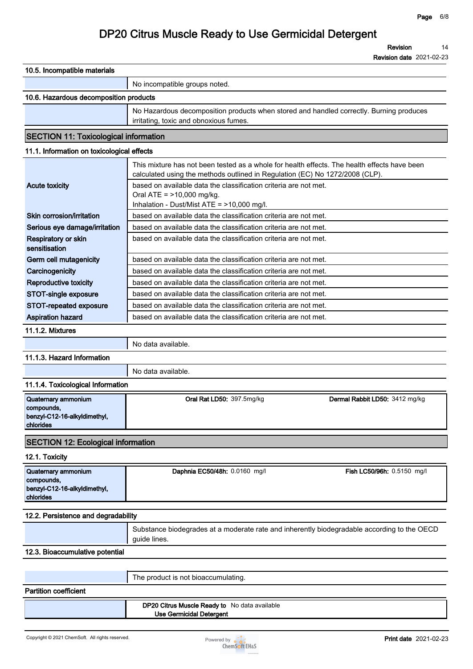**Revision 14**

**Revision date 2021-02-23**

| 10.5. Incompatible materials                 |                                                                                                                                                                              |
|----------------------------------------------|------------------------------------------------------------------------------------------------------------------------------------------------------------------------------|
|                                              | No incompatible groups noted.                                                                                                                                                |
| 10.6. Hazardous decomposition products       |                                                                                                                                                                              |
|                                              | No Hazardous decomposition products when stored and handled correctly. Burning produces<br>irritating, toxic and obnoxious fumes.                                            |
| <b>SECTION 11: Toxicological information</b> |                                                                                                                                                                              |
| 11.1. Information on toxicological effects   |                                                                                                                                                                              |
|                                              | This mixture has not been tested as a whole for health effects. The health effects have been<br>calculated using the methods outlined in Regulation (EC) No 1272/2008 (CLP). |
| <b>Acute toxicity</b>                        | based on available data the classification criteria are not met.<br>Oral ATE = $>10,000$ mg/kg.                                                                              |
|                                              |                                                                                                                                                                              |
|                                              | Inhalation - Dust/Mist ATE = >10,000 mg/l.                                                                                                                                   |
| Skin corrosion/irritation                    | based on available data the classification criteria are not met.                                                                                                             |
| Serious eye damage/irritation                | based on available data the classification criteria are not met.                                                                                                             |
| Respiratory or skin<br>sensitisation         | based on available data the classification criteria are not met.                                                                                                             |

| Germ cell mutagenicity   | based on available data the classification criteria are not met. |
|--------------------------|------------------------------------------------------------------|
| Carcinogenicity          | based on available data the classification criteria are not met. |
| Reproductive toxicity    | based on available data the classification criteria are not met. |
| STOT-single exposure     | based on available data the classification criteria are not met. |
| STOT-repeated exposure   | based on available data the classification criteria are not met. |
| <b>Aspiration hazard</b> | based on available data the classification criteria are not met. |
| 11.1.2. Mixtures         |                                                                  |

**No data available.**

**11.1.3. Hazard Information**

**No data available.**

#### **11.1.4. Toxicological Information**

| Quaternary ammonium                        | Oral Rat LD50: 397.5mg/kg | Dermal Rabbit LD50: 3412 mg/kg |
|--------------------------------------------|---------------------------|--------------------------------|
| compounds,<br>benzyl-C12-16-alkyldimethyl, |                           |                                |
| chlorides                                  |                           |                                |

### **SECTION 12: Ecological information**

**12.1. Toxicity**

| compounds,                   |  |
|------------------------------|--|
|                              |  |
| benzyl-C12-16-alkyldimethyl, |  |
| chlorides                    |  |

#### **12.2. Persistence and degradability**

| Substance biodegrades at a moderate rate and inherently biodegradable according to the OECD<br>quide lines. |  |
|-------------------------------------------------------------------------------------------------------------|--|
|                                                                                                             |  |

#### **12.3. Bioaccumulative potential**

|                              | The product is not bioaccumulating. |
|------------------------------|-------------------------------------|
| <b>Partition coefficient</b> |                                     |

**DP20 Citrus Muscle Ready to** No data available<br>Use Germicidal Detergent

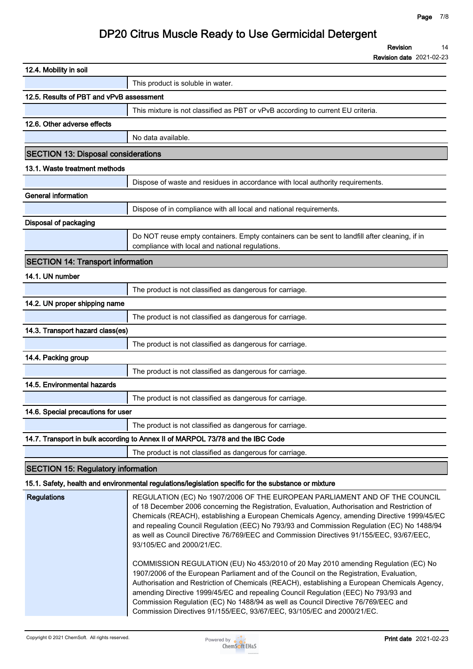**Revision 14**

**Revision date 2021-02-23**

| 12.4. Mobility in soil                     |                                                                                                                                                                                                                                                                           |
|--------------------------------------------|---------------------------------------------------------------------------------------------------------------------------------------------------------------------------------------------------------------------------------------------------------------------------|
|                                            | This product is soluble in water.                                                                                                                                                                                                                                         |
| 12.5. Results of PBT and vPvB assessment   |                                                                                                                                                                                                                                                                           |
|                                            | This mixture is not classified as PBT or vPvB according to current EU criteria.                                                                                                                                                                                           |
| 12.6. Other adverse effects                |                                                                                                                                                                                                                                                                           |
|                                            | No data available.                                                                                                                                                                                                                                                        |
| <b>SECTION 13: Disposal considerations</b> |                                                                                                                                                                                                                                                                           |
| 13.1. Waste treatment methods              |                                                                                                                                                                                                                                                                           |
|                                            | Dispose of waste and residues in accordance with local authority requirements.                                                                                                                                                                                            |
| <b>General information</b>                 |                                                                                                                                                                                                                                                                           |
|                                            | Dispose of in compliance with all local and national requirements.                                                                                                                                                                                                        |
| Disposal of packaging                      |                                                                                                                                                                                                                                                                           |
|                                            | Do NOT reuse empty containers. Empty containers can be sent to landfill after cleaning, if in<br>compliance with local and national regulations.                                                                                                                          |
| <b>SECTION 14: Transport information</b>   |                                                                                                                                                                                                                                                                           |
| 14.1. UN number                            |                                                                                                                                                                                                                                                                           |
|                                            | The product is not classified as dangerous for carriage.                                                                                                                                                                                                                  |
| 14.2. UN proper shipping name              |                                                                                                                                                                                                                                                                           |
|                                            | The product is not classified as dangerous for carriage.                                                                                                                                                                                                                  |
| 14.3. Transport hazard class(es)           |                                                                                                                                                                                                                                                                           |
|                                            | The product is not classified as dangerous for carriage.                                                                                                                                                                                                                  |
| 14.4. Packing group                        |                                                                                                                                                                                                                                                                           |
|                                            | The product is not classified as dangerous for carriage.                                                                                                                                                                                                                  |
| 14.5. Environmental hazards                |                                                                                                                                                                                                                                                                           |
|                                            | The product is not classified as dangerous for carriage.                                                                                                                                                                                                                  |
| 14.6. Special precautions for user         |                                                                                                                                                                                                                                                                           |
|                                            | The product is not classified as dangerous for carriage.                                                                                                                                                                                                                  |
|                                            | 14.7. Transport in bulk according to Annex II of MARPOL 73/78 and the IBC Code                                                                                                                                                                                            |
|                                            | The product is not classified as dangerous for carriage.                                                                                                                                                                                                                  |
| <b>SECTION 15: Regulatory information</b>  |                                                                                                                                                                                                                                                                           |
|                                            | 15.1. Safety, health and environmental regulations/legislation specific for the substance or mixture                                                                                                                                                                      |
| <b>Regulations</b>                         | REGULATION (EC) No 1907/2006 OF THE EUROPEAN PARLIAMENT AND OF THE COUNCIL<br>of 18 December 2006 concerning the Registration, Evaluation, Authorisation and Restriction of<br>Chemicals (REACH), establishing a European Chemicals Agency, amending Directive 1999/45/EC |

**and repealing Council Regulation (EEC) No 793/93 and Commission Regulation (EC) No 1488/94 as well as Council Directive 76/769/EEC and Commission Directives 91/155/EEC, 93/67/EEC, 93/105/EC and 2000/21/EC. COMMISSION REGULATION (EU) No 453/2010 of 20 May 2010 amending Regulation (EC) No 1907/2006 of the European Parliament and of the Council on the Registration, Evaluation,** 

**Authorisation and Restriction of Chemicals (REACH), establishing a European Chemicals Agency, amending Directive 1999/45/EC and repealing Council Regulation (EEC) No 793/93 and Commission Regulation (EC) No 1488/94 as well as Council Directive 76/769/EEC and Commission Directives 91/155/EEC, 93/67/EEC, 93/105/EC and 2000/21/EC.**